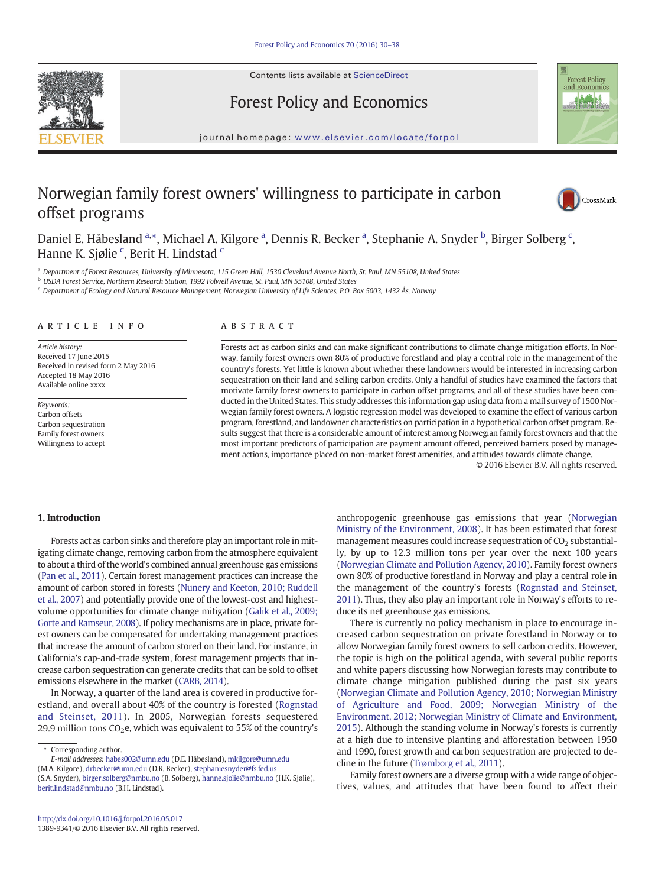Contents lists available at ScienceDirect







journal homepage: <www.elsevier.com/locate/forpol>

# Norwegian family forest owners' willingness to participate in carbon offset programs



Daniel E. Håbesland <sup>a,\*</sup>, Michael A. Kilgore <sup>a</sup>, Dennis R. Becker <sup>a</sup>, Stephanie A. Snyder <sup>b</sup>, Birger Solberg <sup>c</sup>, Hanne K. Sjølie<sup>c</sup>, Berit H. Lindstad<sup>e</sup>

a Department of Forest Resources, University of Minnesota, 115 Green Hall, 1530 Cleveland Avenue North, St. Paul, MN 55108, United States

<sup>b</sup> USDA Forest Service, Northern Research Station, 1992 Folwell Avenue, St. Paul, MN 55108, United States

<sup>c</sup> Department of Ecology and Natural Resource Management, Norwegian University of Life Sciences, P.O. Box 5003, 1432 Ås, Norway

#### ARTICLE INFO ABSTRACT

Article history: Received 17 June 2015 Received in revised form 2 May 2016 Accepted 18 May 2016 Available online xxxx

Keywords: Carbon offsets Carbon sequestration Family forest owners Willingness to accept

Forests act as carbon sinks and can make significant contributions to climate change mitigation efforts. In Norway, family forest owners own 80% of productive forestland and play a central role in the management of the country's forests. Yet little is known about whether these landowners would be interested in increasing carbon sequestration on their land and selling carbon credits. Only a handful of studies have examined the factors that motivate family forest owners to participate in carbon offset programs, and all of these studies have been conducted in the United States. This study addresses this information gap using data from a mail survey of 1500 Norwegian family forest owners. A logistic regression model was developed to examine the effect of various carbon program, forestland, and landowner characteristics on participation in a hypothetical carbon offset program. Results suggest that there is a considerable amount of interest among Norwegian family forest owners and that the most important predictors of participation are payment amount offered, perceived barriers posed by management actions, importance placed on non-market forest amenities, and attitudes towards climate change.

© 2016 Elsevier B.V. All rights reserved.

# 1. Introduction

Forests act as carbon sinks and therefore play an important role in mitigating climate change, removing carbon from the atmosphere equivalent to about a third of the world's combined annual greenhouse gas emissions [\(Pan et al., 2011](#page-8-0)). Certain forest management practices can increase the amount of carbon stored in forests [\(Nunery and Keeton, 2010; Ruddell](#page-8-0) [et al., 2007\)](#page-8-0) and potentially provide one of the lowest-cost and highestvolume opportunities for climate change mitigation [\(Galik et al., 2009;](#page-8-0) [Gorte and Ramseur, 2008](#page-8-0)). If policy mechanisms are in place, private forest owners can be compensated for undertaking management practices that increase the amount of carbon stored on their land. For instance, in California's cap-and-trade system, forest management projects that increase carbon sequestration can generate credits that can be sold to offset emissions elsewhere in the market [\(CARB, 2014\)](#page-8-0).

In Norway, a quarter of the land area is covered in productive forestland, and overall about 40% of the country is forested [\(Rognstad](#page-8-0) [and Steinset, 2011](#page-8-0)). In 2005, Norwegian forests sequestered 29.9 million tons  $CO<sub>2</sub>e$ , which was equivalent to 55% of the country's

E-mail addresses: habes002@umn.edu (D.E. Håbesland), mkilgore@umn.edu (M.A. Kilgore), drbecker@umn.edu (D.R. Becker), stephaniesnyder@fs.fed.us

(S.A. Snyder), [birger.solberg@nmbu.no](mailto:birger.solberg@nmbu.no) (B. Solberg), hanne.sjolie@nmbu.no (H.K. Sjølie), [berit.lindstad@nmbu.no](mailto:berit.lindstad@nmbu.no) (B.H. Lindstad).

anthropogenic greenhouse gas emissions that year [\(Norwegian](#page-8-0) [Ministry of the Environment, 2008\)](#page-8-0). It has been estimated that forest management measures could increase sequestration of  $CO<sub>2</sub>$  substantially, by up to 12.3 million tons per year over the next 100 years [\(Norwegian Climate and Pollution Agency, 2010\)](#page-8-0). Family forest owners own 80% of productive forestland in Norway and play a central role in the management of the country's forests [\(Rognstad and Steinset,](#page-8-0) [2011\)](#page-8-0). Thus, they also play an important role in Norway's efforts to reduce its net greenhouse gas emissions.

There is currently no policy mechanism in place to encourage increased carbon sequestration on private forestland in Norway or to allow Norwegian family forest owners to sell carbon credits. However, the topic is high on the political agenda, with several public reports and white papers discussing how Norwegian forests may contribute to climate change mitigation published during the past six years [\(Norwegian Climate and Pollution Agency, 2010; Norwegian Ministry](#page-8-0) [of Agriculture and Food, 2009; Norwegian Ministry of the](#page-8-0) [Environment, 2012; Norwegian Ministry of Climate and Environment,](#page-8-0) [2015\)](#page-8-0). Although the standing volume in Norway's forests is currently at a high due to intensive planting and afforestation between 1950 and 1990, forest growth and carbon sequestration are projected to decline in the future ([Trømborg et al., 2011\)](#page-8-0).

Family forest owners are a diverse group with a wide range of objectives, values, and attitudes that have been found to affect their

<sup>⁎</sup> Corresponding author.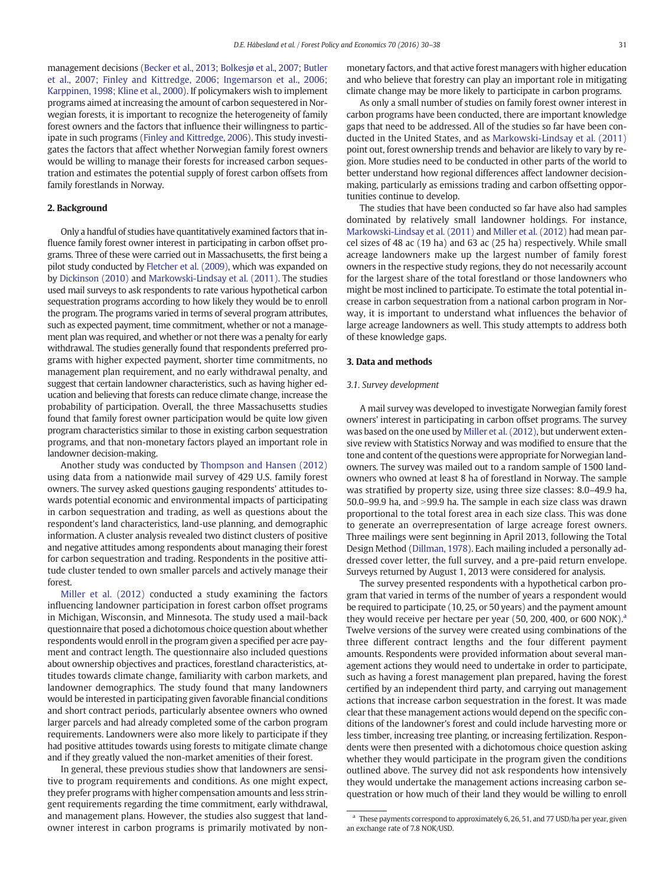management decisions [\(Becker et al., 2013; Bolkesjø et al., 2007; Butler](#page-8-0) [et al., 2007; Finley and Kittredge, 2006; Ingemarson et al., 2006;](#page-8-0) [Karppinen, 1998; Kline et al., 2000\)](#page-8-0). If policymakers wish to implement programs aimed at increasing the amount of carbon sequestered in Norwegian forests, it is important to recognize the heterogeneity of family forest owners and the factors that influence their willingness to participate in such programs ([Finley and Kittredge, 2006\)](#page-8-0). This study investigates the factors that affect whether Norwegian family forest owners would be willing to manage their forests for increased carbon sequestration and estimates the potential supply of forest carbon offsets from family forestlands in Norway.

# 2. Background

Only a handful of studies have quantitatively examined factors that influence family forest owner interest in participating in carbon offset programs. Three of these were carried out in Massachusetts, the first being a pilot study conducted by [Fletcher et al. \(2009\)](#page-8-0), which was expanded on by [Dickinson \(2010\)](#page-8-0) and [Markowski-Lindsay et al. \(2011\)](#page-8-0). The studies used mail surveys to ask respondents to rate various hypothetical carbon sequestration programs according to how likely they would be to enroll the program. The programs varied in terms of several program attributes, such as expected payment, time commitment, whether or not a management plan was required, and whether or not there was a penalty for early withdrawal. The studies generally found that respondents preferred programs with higher expected payment, shorter time commitments, no management plan requirement, and no early withdrawal penalty, and suggest that certain landowner characteristics, such as having higher education and believing that forests can reduce climate change, increase the probability of participation. Overall, the three Massachusetts studies found that family forest owner participation would be quite low given program characteristics similar to those in existing carbon sequestration programs, and that non-monetary factors played an important role in landowner decision-making.

Another study was conducted by [Thompson and Hansen \(2012\)](#page-8-0) using data from a nationwide mail survey of 429 U.S. family forest owners. The survey asked questions gauging respondents' attitudes towards potential economic and environmental impacts of participating in carbon sequestration and trading, as well as questions about the respondent's land characteristics, land-use planning, and demographic information. A cluster analysis revealed two distinct clusters of positive and negative attitudes among respondents about managing their forest for carbon sequestration and trading. Respondents in the positive attitude cluster tended to own smaller parcels and actively manage their forest.

[Miller et al. \(2012\)](#page-8-0) conducted a study examining the factors influencing landowner participation in forest carbon offset programs in Michigan, Wisconsin, and Minnesota. The study used a mail-back questionnaire that posed a dichotomous choice question about whether respondents would enroll in the program given a specified per acre payment and contract length. The questionnaire also included questions about ownership objectives and practices, forestland characteristics, attitudes towards climate change, familiarity with carbon markets, and landowner demographics. The study found that many landowners would be interested in participating given favorable financial conditions and short contract periods, particularly absentee owners who owned larger parcels and had already completed some of the carbon program requirements. Landowners were also more likely to participate if they had positive attitudes towards using forests to mitigate climate change and if they greatly valued the non-market amenities of their forest.

In general, these previous studies show that landowners are sensitive to program requirements and conditions. As one might expect, they prefer programs with higher compensation amounts and less stringent requirements regarding the time commitment, early withdrawal, and management plans. However, the studies also suggest that landowner interest in carbon programs is primarily motivated by nonmonetary factors, and that active forest managers with higher education and who believe that forestry can play an important role in mitigating climate change may be more likely to participate in carbon programs.

As only a small number of studies on family forest owner interest in carbon programs have been conducted, there are important knowledge gaps that need to be addressed. All of the studies so far have been conducted in the United States, and as [Markowski-Lindsay et al. \(2011\)](#page-8-0) point out, forest ownership trends and behavior are likely to vary by region. More studies need to be conducted in other parts of the world to better understand how regional differences affect landowner decisionmaking, particularly as emissions trading and carbon offsetting opportunities continue to develop.

The studies that have been conducted so far have also had samples dominated by relatively small landowner holdings. For instance, [Markowski-Lindsay et al. \(2011\)](#page-8-0) and [Miller et al. \(2012\)](#page-8-0) had mean parcel sizes of 48 ac (19 ha) and 63 ac (25 ha) respectively. While small acreage landowners make up the largest number of family forest owners in the respective study regions, they do not necessarily account for the largest share of the total forestland or those landowners who might be most inclined to participate. To estimate the total potential increase in carbon sequestration from a national carbon program in Norway, it is important to understand what influences the behavior of large acreage landowners as well. This study attempts to address both of these knowledge gaps.

#### 3. Data and methods

#### 3.1. Survey development

A mail survey was developed to investigate Norwegian family forest owners' interest in participating in carbon offset programs. The survey was based on the one used by [Miller et al. \(2012\),](#page-8-0) but underwent extensive review with Statistics Norway and was modified to ensure that the tone and content of the questions were appropriate for Norwegian landowners. The survey was mailed out to a random sample of 1500 landowners who owned at least 8 ha of forestland in Norway. The sample was stratified by property size, using three size classes: 8.0–49.9 ha, 50.0–99.9 ha, and  $>$ 99.9 ha. The sample in each size class was drawn proportional to the total forest area in each size class. This was done to generate an overrepresentation of large acreage forest owners. Three mailings were sent beginning in April 2013, following the Total Design Method [\(Dillman, 1978\)](#page-8-0). Each mailing included a personally addressed cover letter, the full survey, and a pre-paid return envelope. Surveys returned by August 1, 2013 were considered for analysis.

The survey presented respondents with a hypothetical carbon program that varied in terms of the number of years a respondent would be required to participate (10, 25, or 50 years) and the payment amount they would receive per hectare per year  $(50, 200, 400, 600, 600, 600)$ . Twelve versions of the survey were created using combinations of the three different contract lengths and the four different payment amounts. Respondents were provided information about several management actions they would need to undertake in order to participate, such as having a forest management plan prepared, having the forest certified by an independent third party, and carrying out management actions that increase carbon sequestration in the forest. It was made clear that these management actions would depend on the specific conditions of the landowner's forest and could include harvesting more or less timber, increasing tree planting, or increasing fertilization. Respondents were then presented with a dichotomous choice question asking whether they would participate in the program given the conditions outlined above. The survey did not ask respondents how intensively they would undertake the management actions increasing carbon sequestration or how much of their land they would be willing to enroll

<sup>&</sup>lt;sup>a</sup> These payments correspond to approximately 6, 26, 51, and 77 USD/ha per year, given an exchange rate of 7.8 NOK/USD.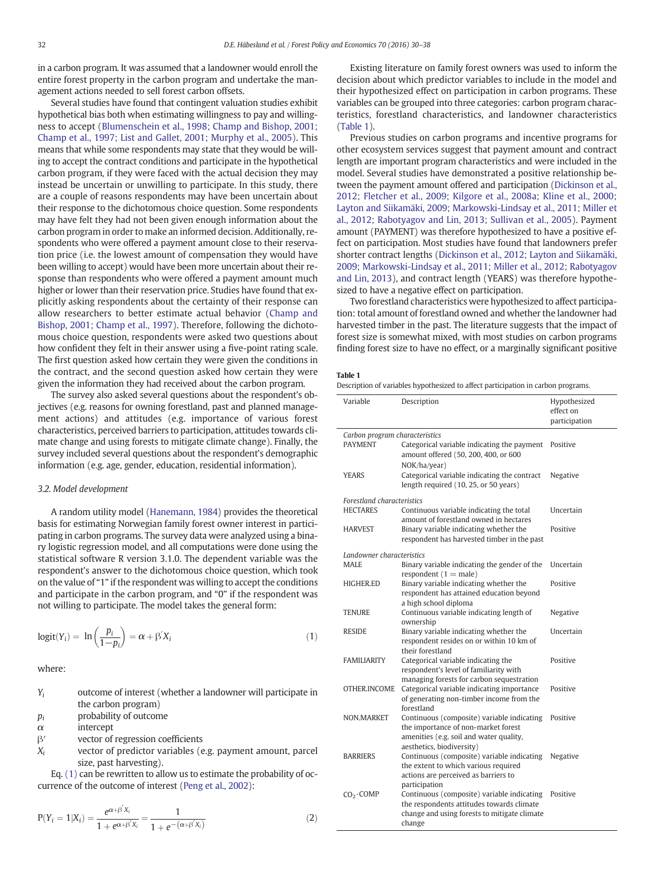<span id="page-2-0"></span>in a carbon program. It was assumed that a landowner would enroll the entire forest property in the carbon program and undertake the management actions needed to sell forest carbon offsets.

Several studies have found that contingent valuation studies exhibit hypothetical bias both when estimating willingness to pay and willingness to accept [\(Blumenschein et al., 1998; Champ and Bishop, 2001;](#page-8-0) [Champ et al., 1997; List and Gallet, 2001; Murphy et al., 2005\)](#page-8-0). This means that while some respondents may state that they would be willing to accept the contract conditions and participate in the hypothetical carbon program, if they were faced with the actual decision they may instead be uncertain or unwilling to participate. In this study, there are a couple of reasons respondents may have been uncertain about their response to the dichotomous choice question. Some respondents may have felt they had not been given enough information about the carbon program in order to make an informed decision. Additionally, respondents who were offered a payment amount close to their reservation price (i.e. the lowest amount of compensation they would have been willing to accept) would have been more uncertain about their response than respondents who were offered a payment amount much higher or lower than their reservation price. Studies have found that explicitly asking respondents about the certainty of their response can allow researchers to better estimate actual behavior ([Champ and](#page-8-0) [Bishop, 2001; Champ et al., 1997\)](#page-8-0). Therefore, following the dichotomous choice question, respondents were asked two questions about how confident they felt in their answer using a five-point rating scale. The first question asked how certain they were given the conditions in the contract, and the second question asked how certain they were given the information they had received about the carbon program.

The survey also asked several questions about the respondent's objectives (e.g. reasons for owning forestland, past and planned management actions) and attitudes (e.g. importance of various forest characteristics, perceived barriers to participation, attitudes towards climate change and using forests to mitigate climate change). Finally, the survey included several questions about the respondent's demographic information (e.g. age, gender, education, residential information).

## 3.2. Model development

A random utility model [\(Hanemann, 1984\)](#page-8-0) provides the theoretical basis for estimating Norwegian family forest owner interest in participating in carbon programs. The survey data were analyzed using a binary logistic regression model, and all computations were done using the statistical software R version 3.1.0. The dependent variable was the respondent's answer to the dichotomous choice question, which took on the value of "1" if the respondent was willing to accept the conditions and participate in the carbon program, and "0" if the respondent was not willing to participate. The model takes the general form:

$$
logit(Y_i) = \ln\left(\frac{p_i}{1-p_i}\right) = \alpha + \beta' X_i \tag{1}
$$

where:

| $Y_i$ | outcome of interest (whether a landowner will participate in |  |
|-------|--------------------------------------------------------------|--|
|       | the carbon program)                                          |  |
|       |                                                              |  |

 $p_i$  probability of outcome

 $\alpha$  intercept

- β′ vector of regression coefficients
- $X_i$  vector of predictor variables (e.g. payment amount, parcel size, past harvesting).

Eq. (1) can be rewritten to allow us to estimate the probability of occurrence of the outcome of interest [\(Peng et al., 2002](#page-8-0)):

$$
P(Y_i = 1 | X_i) = \frac{e^{\alpha + \beta' X_i}}{1 + e^{\alpha + \beta' X_i}} = \frac{1}{1 + e^{-(\alpha + \beta' X_i)}}
$$
(2)

Existing literature on family forest owners was used to inform the decision about which predictor variables to include in the model and their hypothesized effect on participation in carbon programs. These variables can be grouped into three categories: carbon program characteristics, forestland characteristics, and landowner characteristics (Table 1).

Previous studies on carbon programs and incentive programs for other ecosystem services suggest that payment amount and contract length are important program characteristics and were included in the model. Several studies have demonstrated a positive relationship between the payment amount offered and participation ([Dickinson et al.,](#page-8-0) [2012; Fletcher et al., 2009; Kilgore et al., 2008a; Kline et al., 2000;](#page-8-0) [Layton and Siikamäki, 2009; Markowski-Lindsay et al., 2011; Miller et](#page-8-0) [al., 2012; Rabotyagov and Lin, 2013; Sullivan et al., 2005](#page-8-0)). Payment amount (PAYMENT) was therefore hypothesized to have a positive effect on participation. Most studies have found that landowners prefer shorter contract lengths [\(Dickinson et al., 2012; Layton and Siikamäki,](#page-8-0) [2009; Markowski-Lindsay et al., 2011; Miller et al., 2012; Rabotyagov](#page-8-0) [and Lin, 2013](#page-8-0)), and contract length (YEARS) was therefore hypothesized to have a negative effect on participation.

Two forestland characteristics were hypothesized to affect participation: total amount of forestland owned and whether the landowner had harvested timber in the past. The literature suggests that the impact of forest size is somewhat mixed, with most studies on carbon programs finding forest size to have no effect, or a marginally significant positive

#### Table 1

Description of variables hypothesized to affect participation in carbon programs.

| Variable                                         | Description                                                                                                                                                        | Hypothesized<br>effect on<br>participation |
|--------------------------------------------------|--------------------------------------------------------------------------------------------------------------------------------------------------------------------|--------------------------------------------|
| Carbon program characteristics<br><b>PAYMENT</b> | Categorical variable indicating the payment<br>amount offered (50, 200, 400, or 600<br>NOK/ha/year)                                                                | Positive                                   |
| <b>YEARS</b>                                     | Categorical variable indicating the contract<br>length required (10, 25, or 50 years)                                                                              | Negative                                   |
| Forestland characteristics                       |                                                                                                                                                                    |                                            |
| <b>HECTARES</b>                                  | Continuous variable indicating the total<br>amount of forestland owned in hectares                                                                                 | Uncertain                                  |
| <b>HARVEST</b>                                   | Binary variable indicating whether the<br>respondent has harvested timber in the past                                                                              | Positive                                   |
| Landowner characteristics                        |                                                                                                                                                                    |                                            |
| <b>MALE</b>                                      | Binary variable indicating the gender of the<br>respondent $(1 = male)$                                                                                            | Uncertain                                  |
| <b>HIGHER ED</b>                                 | Binary variable indicating whether the<br>respondent has attained education beyond<br>a high school diploma                                                        | Positive                                   |
| <b>TENURE</b>                                    | Continuous variable indicating length of<br>ownership                                                                                                              | Negative                                   |
| <b>RESIDE</b>                                    | Binary variable indicating whether the<br>respondent resides on or within 10 km of<br>their forestland                                                             | Uncertain                                  |
| <b>FAMILIARITY</b>                               | Categorical variable indicating the<br>respondent's level of familiarity with<br>managing forests for carbon sequestration                                         | Positive                                   |
| OTHER INCOME                                     | Categorical variable indicating importance<br>of generating non-timber income from the<br>forestland                                                               | Positive                                   |
| NON.MARKET                                       | Continuous (composite) variable indicating<br>the importance of non-market forest<br>amenities (e.g. soil and water quality,<br>aesthetics, biodiversity)          | Positive                                   |
| <b>BARRIERS</b>                                  | Continuous (composite) variable indicating<br>the extent to which various required<br>actions are perceived as barriers to                                         | Negative                                   |
| $CO2 \cdot COMP$                                 | participation<br>Continuous (composite) variable indicating<br>the respondents attitudes towards climate<br>change and using forests to mitigate climate<br>change | Positive                                   |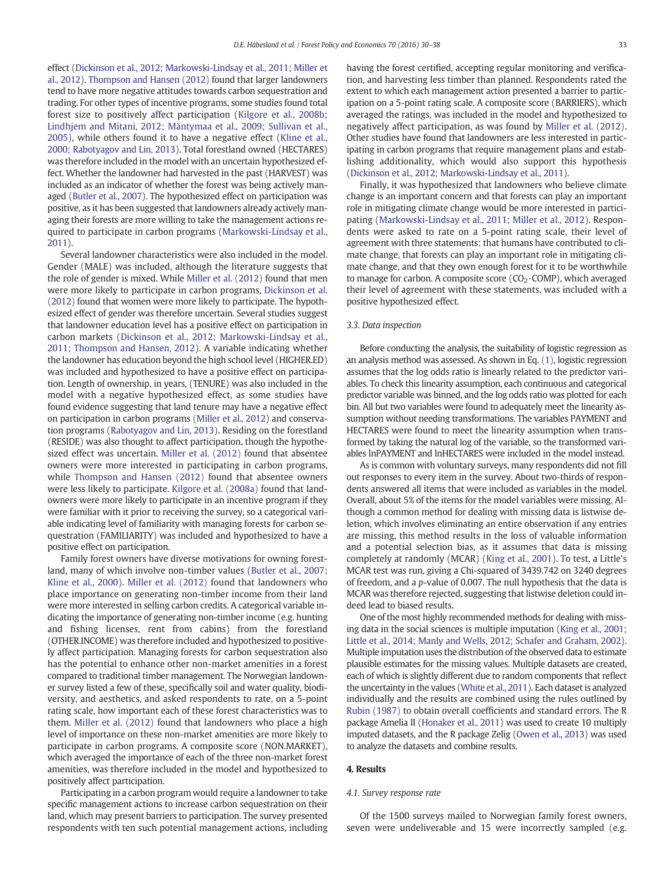effect ([Dickinson et al., 2012; Markowski-Lindsay et al., 2011; Miller et](#page-8-0) [al., 2012](#page-8-0)). [Thompson and Hansen \(2012\)](#page-8-0) found that larger landowners tend to have more negative attitudes towards carbon sequestration and trading. For other types of incentive programs, some studies found total forest size to positively affect participation [\(Kilgore et al., 2008b;](#page-8-0) [Lindhjem and Mitani, 2012; Mäntymaa et al., 2009; Sullivan et al.,](#page-8-0) [2005\)](#page-8-0), while others found it to have a negative effect [\(Kline et al.,](#page-8-0) [2000; Rabotyagov and Lin, 2013](#page-8-0)). Total forestland owned (HECTARES) was therefore included in the model with an uncertain hypothesized effect. Whether the landowner had harvested in the past (HARVEST) was included as an indicator of whether the forest was being actively managed [\(Butler et al., 2007](#page-8-0)). The hypothesized effect on participation was positive, as it has been suggested that landowners already actively managing their forests are more willing to take the management actions required to participate in carbon programs [\(Markowski-Lindsay et al.,](#page-8-0) [2011](#page-8-0)).

Several landowner characteristics were also included in the model. Gender (MALE) was included, although the literature suggests that the role of gender is mixed. While [Miller et al. \(2012\)](#page-8-0) found that men were more likely to participate in carbon programs, [Dickinson et al.](#page-8-0) [\(2012\)](#page-8-0) found that women were more likely to participate. The hypothesized effect of gender was therefore uncertain. Several studies suggest that landowner education level has a positive effect on participation in carbon markets [\(Dickinson et al., 2012; Markowski-Lindsay et al.,](#page-8-0) [2011; Thompson and Hansen, 2012\)](#page-8-0). A variable indicating whether the landowner has education beyond the high school level (HIGHER.ED) was included and hypothesized to have a positive effect on participation. Length of ownership, in years, (TENURE) was also included in the model with a negative hypothesized effect, as some studies have found evidence suggesting that land tenure may have a negative effect on participation in carbon programs [\(Miller et al., 2012\)](#page-8-0) and conservation programs [\(Rabotyagov and Lin, 2013\)](#page-8-0). Residing on the forestland (RESIDE) was also thought to affect participation, though the hypothesized effect was uncertain. [Miller et al. \(2012\)](#page-8-0) found that absentee owners were more interested in participating in carbon programs, while [Thompson and Hansen \(2012\)](#page-8-0) found that absentee owners were less likely to participate. [Kilgore et al. \(2008a\)](#page-8-0) found that landowners were more likely to participate in an incentive program if they were familiar with it prior to receiving the survey, so a categorical variable indicating level of familiarity with managing forests for carbon sequestration (FAMILIARITY) was included and hypothesized to have a positive effect on participation.

Family forest owners have diverse motivations for owning forestland, many of which involve non-timber values ([Butler et al., 2007;](#page-8-0) [Kline et al., 2000\)](#page-8-0). [Miller et al. \(2012\)](#page-8-0) found that landowners who place importance on generating non-timber income from their land were more interested in selling carbon credits. A categorical variable indicating the importance of generating non-timber income (e.g. hunting and fishing licenses, rent from cabins) from the forestland (OTHER.INCOME) was therefore included and hypothesized to positively affect participation. Managing forests for carbon sequestration also has the potential to enhance other non-market amenities in a forest compared to traditional timber management. The Norwegian landowner survey listed a few of these, specifically soil and water quality, biodiversity, and aesthetics, and asked respondents to rate, on a 5-point rating scale, how important each of these forest characteristics was to them. [Miller et al. \(2012\)](#page-8-0) found that landowners who place a high level of importance on these non-market amenities are more likely to participate in carbon programs. A composite score (NON.MARKET), which averaged the importance of each of the three non-market forest amenities, was therefore included in the model and hypothesized to positively affect participation.

Participating in a carbon program would require a landowner to take specific management actions to increase carbon sequestration on their land, which may present barriers to participation. The survey presented respondents with ten such potential management actions, including having the forest certified, accepting regular monitoring and verification, and harvesting less timber than planned. Respondents rated the extent to which each management action presented a barrier to participation on a 5-point rating scale. A composite score (BARRIERS), which averaged the ratings, was included in the model and hypothesized to negatively affect participation, as was found by [Miller et al. \(2012\).](#page-8-0) Other studies have found that landowners are less interested in participating in carbon programs that require management plans and establishing additionality, which would also support this hypothesis [\(Dickinson et al., 2012; Markowski-Lindsay et al., 2011\)](#page-8-0).

Finally, it was hypothesized that landowners who believe climate change is an important concern and that forests can play an important role in mitigating climate change would be more interested in participating ([Markowski-Lindsay et al., 2011; Miller et al., 2012\)](#page-8-0). Respondents were asked to rate on a 5-point rating scale, their level of agreement with three statements: that humans have contributed to climate change, that forests can play an important role in mitigating climate change, and that they own enough forest for it to be worthwhile to manage for carbon. A composite score  $(CO<sub>2</sub> \cdot COMP)$ , which averaged their level of agreement with these statements, was included with a positive hypothesized effect.

#### 3.3. Data inspection

Before conducting the analysis, the suitability of logistic regression as an analysis method was assessed. As shown in Eq. [\(1\),](#page-2-0) logistic regression assumes that the log odds ratio is linearly related to the predictor variables. To check this linearity assumption, each continuous and categorical predictor variable was binned, and the log odds ratio was plotted for each bin. All but two variables were found to adequately meet the linearity assumption without needing transformations. The variables PAYMENT and HECTARES were found to meet the linearity assumption when transformed by taking the natural log of the variable, so the transformed variables lnPAYMENT and lnHECTARES were included in the model instead.

As is common with voluntary surveys, many respondents did not fill out responses to every item in the survey. About two-thirds of respondents answered all items that were included as variables in the model. Overall, about 5% of the items for the model variables were missing. Although a common method for dealing with missing data is listwise deletion, which involves eliminating an entire observation if any entries are missing, this method results in the loss of valuable information and a potential selection bias, as it assumes that data is missing completely at randomly (MCAR) ([King et al., 2001\)](#page-8-0). To test, a Little's MCAR test was run, giving a Chi-squared of 3439.742 on 3240 degrees of freedom, and a p-value of 0.007. The null hypothesis that the data is MCAR was therefore rejected, suggesting that listwise deletion could indeed lead to biased results.

One of the most highly recommended methods for dealing with missing data in the social sciences is multiple imputation [\(King et al., 2001;](#page-8-0) [Little et al., 2014; Manly and Wells, 2012; Schafer and Graham, 2002](#page-8-0)). Multiple imputation uses the distribution of the observed data to estimate plausible estimates for the missing values. Multiple datasets are created, each of which is slightly different due to random components that reflect the uncertainty in the values [\(White et al., 2011\)](#page-8-0). Each dataset is analyzed individually and the results are combined using the rules outlined by [Rubin \(1987\)](#page-8-0) to obtain overall coefficients and standard errors. The R package Amelia II ([Honaker et al., 2011\)](#page-8-0) was used to create 10 multiply imputed datasets, and the R package Zelig ([Owen et al., 2013\)](#page-8-0) was used to analyze the datasets and combine results.

# 4. Results

#### 4.1. Survey response rate

Of the 1500 surveys mailed to Norwegian family forest owners, seven were undeliverable and 15 were incorrectly sampled (e.g.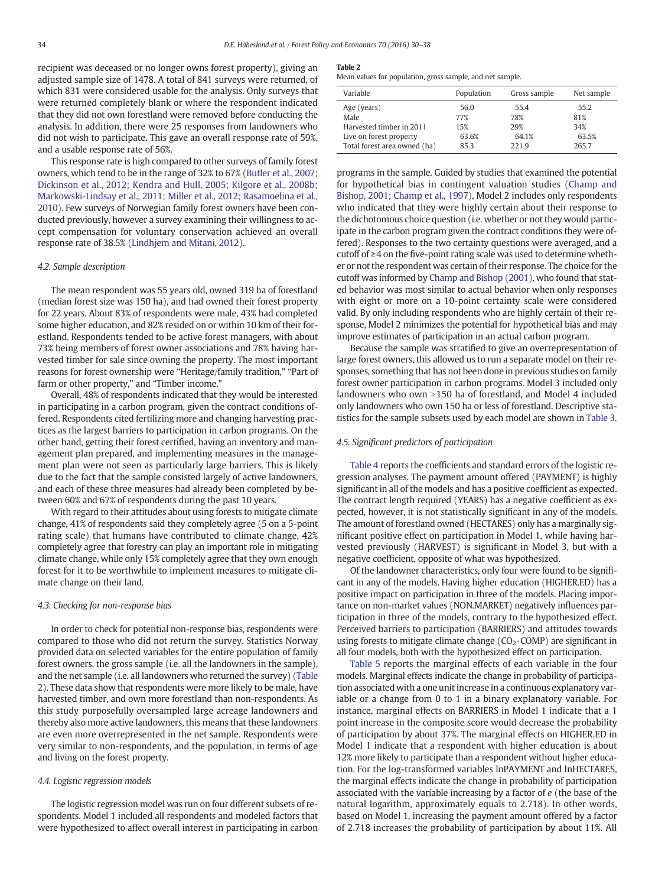recipient was deceased or no longer owns forest property), giving an adjusted sample size of 1478. A total of 841 surveys were returned, of which 831 were considered usable for the analysis. Only surveys that were returned completely blank or where the respondent indicated that they did not own forestland were removed before conducting the analysis. In addition, there were 25 responses from landowners who did not wish to participate. This gave an overall response rate of 59%, and a usable response rate of 56%.

This response rate is high compared to other surveys of family forest owners, which tend to be in the range of 32% to 67% ([Butler et al., 2007;](#page-8-0) [Dickinson et al., 2012; Kendra and Hull, 2005; Kilgore et al., 2008b;](#page-8-0) [Markowski-Lindsay et al., 2011; Miller et al., 2012; Rasamoelina et al.,](#page-8-0) [2010\)](#page-8-0). Few surveys of Norwegian family forest owners have been conducted previously, however a survey examining their willingness to accept compensation for voluntary conservation achieved an overall response rate of 38.5% [\(Lindhjem and Mitani, 2012](#page-8-0)).

## 4.2. Sample description

The mean respondent was 55 years old, owned 319 ha of forestland (median forest size was 150 ha), and had owned their forest property for 22 years. About 83% of respondents were male, 43% had completed some higher education, and 82% resided on or within 10 km of their forestland. Respondents tended to be active forest managers, with about 73% being members of forest owner associations and 78% having harvested timber for sale since owning the property. The most important reasons for forest ownership were "Heritage/family tradition," "Part of farm or other property," and "Timber income."

Overall, 48% of respondents indicated that they would be interested in participating in a carbon program, given the contract conditions offered. Respondents cited fertilizing more and changing harvesting practices as the largest barriers to participation in carbon programs. On the other hand, getting their forest certified, having an inventory and management plan prepared, and implementing measures in the management plan were not seen as particularly large barriers. This is likely due to the fact that the sample consisted largely of active landowners, and each of these three measures had already been completed by between 60% and 67% of respondents during the past 10 years.

With regard to their attitudes about using forests to mitigate climate change, 41% of respondents said they completely agree (5 on a 5-point rating scale) that humans have contributed to climate change, 42% completely agree that forestry can play an important role in mitigating climate change, while only 15% completely agree that they own enough forest for it to be worthwhile to implement measures to mitigate climate change on their land.

#### 4.3. Checking for non-response bias

In order to check for potential non-response bias, respondents were compared to those who did not return the survey. Statistics Norway provided data on selected variables for the entire population of family forest owners, the gross sample (i.e. all the landowners in the sample), and the net sample (i.e. all landowners who returned the survey) (Table 2). These data show that respondents were more likely to be male, have harvested timber, and own more forestland than non-respondents. As this study purposefully oversampled large acreage landowners and thereby also more active landowners, this means that these landowners are even more overrepresented in the net sample. Respondents were very similar to non-respondents, and the population, in terms of age and living on the forest property.

# 4.4. Logistic regression models

The logistic regression model was run on four different subsets of respondents. Model 1 included all respondents and modeled factors that were hypothesized to affect overall interest in participating in carbon

#### Table 2

Mean values for population, gross sample, and net sample.

| Variable                     | Population | Gross sample | Net sample |
|------------------------------|------------|--------------|------------|
| Age (years)                  | 56.0       | 55.4         | 55.2       |
| Male                         | 77%        | 78%          | 81%        |
| Harvested timber in 2011     | 15%        | 29%          | 34%        |
| Live on forest property      | 63.6%      | 64.1%        | 63.5%      |
| Total forest area owned (ha) | 85.3       | 221.9        | 265.7      |

programs in the sample. Guided by studies that examined the potential for hypothetical bias in contingent valuation studies ([Champ and](#page-8-0) [Bishop, 2001; Champ et al., 1997](#page-8-0)), Model 2 includes only respondents who indicated that they were highly certain about their response to the dichotomous choice question (i.e. whether or not they would participate in the carbon program given the contract conditions they were offered). Responses to the two certainty questions were averaged, and a cutoff of ≥4 on the five-point rating scale was used to determine whether or not the respondent was certain of their response. The choice for the cutoff was informed by [Champ and Bishop \(2001\),](#page-8-0) who found that stated behavior was most similar to actual behavior when only responses with eight or more on a 10-point certainty scale were considered valid. By only including respondents who are highly certain of their response, Model 2 minimizes the potential for hypothetical bias and may improve estimates of participation in an actual carbon program.

Because the sample was stratified to give an overrepresentation of large forest owners, this allowed us to run a separate model on their responses, something that has not been done in previous studies on family forest owner participation in carbon programs. Model 3 included only landowners who own  $>150$  ha of forestland, and Model 4 included only landowners who own 150 ha or less of forestland. Descriptive statistics for the sample subsets used by each model are shown in [Table 3.](#page-5-0)

#### 4.5. Significant predictors of participation

[Table 4](#page-5-0) reports the coefficients and standard errors of the logistic regression analyses. The payment amount offered (PAYMENT) is highly significant in all of the models and has a positive coefficient as expected. The contract length required (YEARS) has a negative coefficient as expected, however, it is not statistically significant in any of the models. The amount of forestland owned (HECTARES) only has a marginally significant positive effect on participation in Model 1, while having harvested previously (HARVEST) is significant in Model 3, but with a negative coefficient, opposite of what was hypothesized.

Of the landowner characteristics, only four were found to be significant in any of the models. Having higher education (HIGHER.ED) has a positive impact on participation in three of the models. Placing importance on non-market values (NON.MARKET) negatively influences participation in three of the models, contrary to the hypothesized effect. Perceived barriers to participation (BARRIERS) and attitudes towards using forests to mitigate climate change  $(CO_2 \cdot COMP)$  are significant in all four models, both with the hypothesized effect on participation.

[Table 5](#page-6-0) reports the marginal effects of each variable in the four models. Marginal effects indicate the change in probability of participation associated with a one unit increase in a continuous explanatory variable or a change from 0 to 1 in a binary explanatory variable. For instance, marginal effects on BARRIERS in Model 1 indicate that a 1 point increase in the composite score would decrease the probability of participation by about 37%. The marginal effects on HIGHER.ED in Model 1 indicate that a respondent with higher education is about 12% more likely to participate than a respondent without higher education. For the log-transformed variables lnPAYMENT and lnHECTARES, the marginal effects indicate the change in probability of participation associated with the variable increasing by a factor of e (the base of the natural logarithm, approximately equals to 2.718). In other words, based on Model 1, increasing the payment amount offered by a factor of 2.718 increases the probability of participation by about 11%. All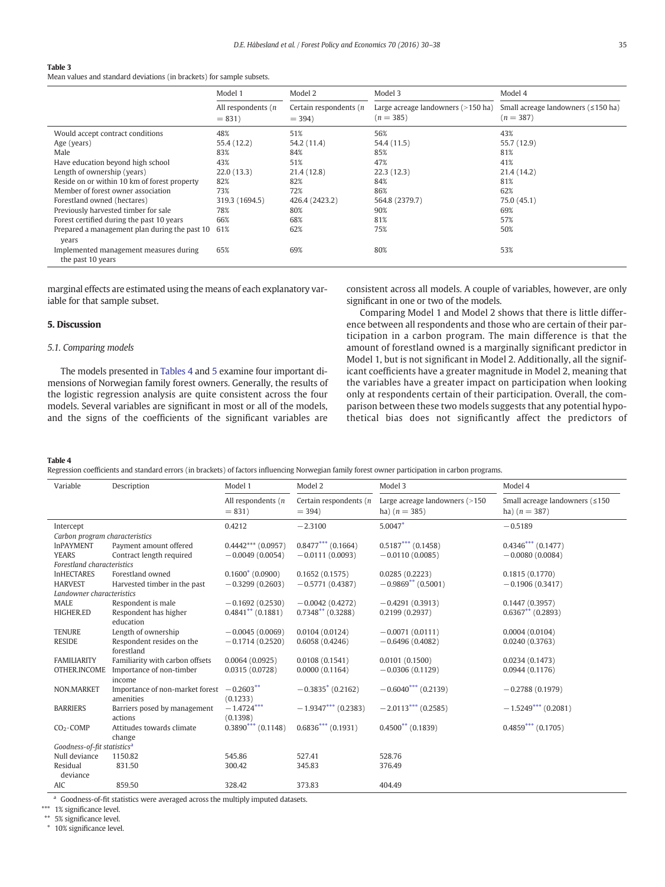#### <span id="page-5-0"></span>Table 3

Mean values and standard deviations (in brackets) for sample subsets.

|                                                             | Model 1                          | Model 2                           | Model 3                                             | Model 4                                                          |
|-------------------------------------------------------------|----------------------------------|-----------------------------------|-----------------------------------------------------|------------------------------------------------------------------|
|                                                             | All respondents $(n)$<br>$= 831$ | Certain respondents (n<br>$= 394$ | Large acreage landowners $(>150$ ha)<br>$(n = 385)$ | Small acreage landowners $( \leq 150 \text{ ha})$<br>$(n = 387)$ |
| Would accept contract conditions                            | 48%                              | 51%                               | 56%                                                 | 43%                                                              |
| Age (years)                                                 | 55.4 (12.2)                      | 54.2 (11.4)                       | 54.4 (11.5)                                         | 55.7 (12.9)                                                      |
| Male                                                        | 83%                              | 84%                               | 85%                                                 | 81%                                                              |
| Have education beyond high school                           | 43%                              | 51%                               | 47%                                                 | 41%                                                              |
| Length of ownership (years)                                 | 22.0(13.3)                       | 21.4 (12.8)                       | 22.3(12.3)                                          | 21.4(14.2)                                                       |
| Reside on or within 10 km of forest property                | 82%                              | 82%                               | 84%                                                 | 81%                                                              |
| Member of forest owner association                          | 73%                              | 72%                               | 86%                                                 | 62%                                                              |
| Forestland owned (hectares)                                 | 319.3 (1694.5)                   | 426.4 (2423.2)                    | 564.8 (2379.7)                                      | 75.0 (45.1)                                                      |
| Previously harvested timber for sale                        | 78%                              | 80%                               | 90%                                                 | 69%                                                              |
| Forest certified during the past 10 years                   | 66%                              | 68%                               | 81%                                                 | 57%                                                              |
| Prepared a management plan during the past 10<br>years      | 61%                              | 62%                               | 75%                                                 | 50%                                                              |
| Implemented management measures during<br>the past 10 years | 65%                              | 69%                               | 80%                                                 | 53%                                                              |

marginal effects are estimated using the means of each explanatory variable for that sample subset.

#### 5. Discussion

#### 5.1. Comparing models

The models presented in Tables 4 and [5](#page-6-0) examine four important dimensions of Norwegian family forest owners. Generally, the results of the logistic regression analysis are quite consistent across the four models. Several variables are significant in most or all of the models, and the signs of the coefficients of the significant variables are

consistent across all models. A couple of variables, however, are only significant in one or two of the models.

Comparing Model 1 and Model 2 shows that there is little difference between all respondents and those who are certain of their participation in a carbon program. The main difference is that the amount of forestland owned is a marginally significant predictor in Model 1, but is not significant in Model 2. Additionally, all the significant coefficients have a greater magnitude in Model 2, meaning that the variables have a greater impact on participation when looking only at respondents certain of their participation. Overall, the comparison between these two models suggests that any potential hypothetical bias does not significantly affect the predictors of

#### Table 4

Regression coefficients and standard errors (in brackets) of factors influencing Norwegian family forest owner participation in carbon programs.

| Variable                                | Description                     | Model 1                          | Model 2                              | Model 3                                           | Model 4                                           |
|-----------------------------------------|---------------------------------|----------------------------------|--------------------------------------|---------------------------------------------------|---------------------------------------------------|
|                                         |                                 | All respondents $(n)$<br>$= 831$ | Certain respondents $(n)$<br>$= 394$ | Large acreage landowners (>150<br>ha) $(n = 385)$ | Small acreage landowners (≤150<br>ha) $(n = 387)$ |
| Intercept                               |                                 | 0.4212                           | $-2.3100$                            | $5.0047*$                                         | $-0.5189$                                         |
| Carbon program characteristics          |                                 |                                  |                                      |                                                   |                                                   |
| <b>InPAYMENT</b>                        | Payment amount offered          | $0.4442***$ (0.0957)             | $0.8477***$ (0.1664)                 | $0.5187***$ (0.1458)                              | $0.4346***$ (0.1477)                              |
| <b>YEARS</b>                            | Contract length required        | $-0.0049(0.0054)$                | $-0.0111(0.0093)$                    | $-0.0110(0.0085)$                                 | $-0.0080(0.0084)$                                 |
| Forestland characteristics              |                                 |                                  |                                      |                                                   |                                                   |
| <b>InHECTARES</b>                       | Forestland owned                | $0.1600^*$ (0.0900)              | 0.1652(0.1575)                       | 0.0285(0.2223)                                    | 0.1815(0.1770)                                    |
| <b>HARVEST</b>                          | Harvested timber in the past    | $-0.3299(0.2603)$                | $-0.5771(0.4387)$                    | $-0.9869**$ (0.5001)                              | $-0.1906(0.3417)$                                 |
| Landowner characteristics               |                                 |                                  |                                      |                                                   |                                                   |
| <b>MALE</b>                             | Respondent is male              | $-0.1692(0.2530)$                | $-0.0042(0.4272)$                    | $-0.4291(0.3913)$                                 | 0.1447(0.3957)                                    |
| HIGHER.ED                               | Respondent has higher           | $0.4841**$ (0.1881)              | $0.7348**$ (0.3288)                  | 0.2199(0.2937)                                    | $0.6367**$ (0.2893)                               |
|                                         | education                       |                                  |                                      |                                                   |                                                   |
| <b>TENURE</b>                           | Length of ownership             | $-0.0045(0.0069)$                | 0.0104(0.0124)                       | $-0.0071(0.0111)$                                 | 0.0004(0.0104)                                    |
| <b>RESIDE</b>                           | Respondent resides on the       | $-0.1714(0.2520)$                | 0.6058(0.4246)                       | $-0.6496(0.4082)$                                 | 0.0240(0.3763)                                    |
| forestland                              |                                 |                                  |                                      |                                                   |                                                   |
| <b>FAMILIARITY</b>                      | Familiarity with carbon offsets | 0.0064(0.0925)                   | 0.0108(0.1541)                       | 0.0101(0.1500)                                    | 0.0234(0.1473)                                    |
| OTHER.INCOME                            | Importance of non-timber        | 0.0315(0.0728)                   | 0.0000(0.1164)                       | $-0.0306(0.1129)$                                 | 0.0944(0.1176)                                    |
|                                         | income                          |                                  |                                      |                                                   |                                                   |
| NON.MARKET                              | Importance of non-market forest | $-0.2603**$                      | $-0.3835$ <sup>*</sup> (0.2162)      | $-0.6040^{***}$ (0.2139)                          | $-0.2788(0.1979)$                                 |
|                                         | amenities                       | (0.1233)                         |                                      |                                                   |                                                   |
| <b>BARRIERS</b>                         | Barriers posed by management    | $-1.4724***$                     | $-1.9347***$ (0.2383)                | $-2.0113***$ (0.2585)                             | $-1.5249***$ (0.2081)                             |
|                                         | actions                         | (0.1398)                         |                                      |                                                   |                                                   |
| $CO2 \cdot COMP$                        | Attitudes towards climate       | $0.3890***$ (0.1148)             | $0.6836***$ (0.1931)                 | $0.4500**$ (0.1839)                               | $0.4859***$ (0.1705)                              |
|                                         | change                          |                                  |                                      |                                                   |                                                   |
| Goodness-of-fit statistics <sup>a</sup> |                                 |                                  |                                      |                                                   |                                                   |
| Null deviance                           | 1150.82                         | 545.86                           | 527.41                               | 528.76                                            |                                                   |
| Residual                                | 831.50                          | 300.42                           | 345.83                               | 376.49                                            |                                                   |
| deviance                                |                                 |                                  |                                      |                                                   |                                                   |
| AIC                                     | 859.50                          | 328.42                           | 373.83                               | 404.49                                            |                                                   |

<sup>a</sup> Goodness-of-fit statistics were averaged across the multiply imputed datasets.

\*\*\* 1% significance level.

\*\* 5% significance level.

⁎ 10% significance level.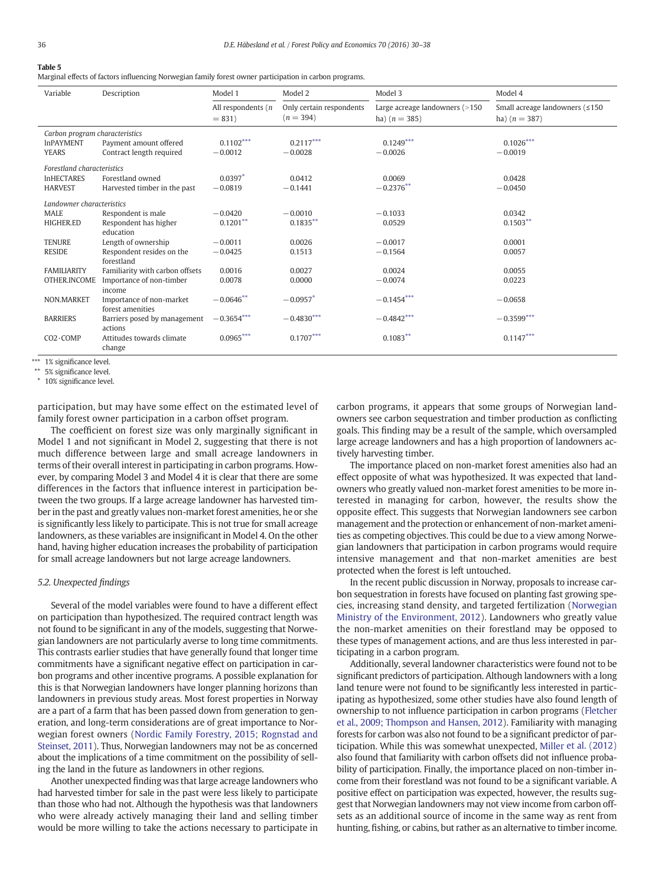#### <span id="page-6-0"></span>Table 5

Marginal effects of factors influencing Norwegian family forest owner participation in carbon programs.

| Variable                       | Description                        | Model 1                          | Model 2                                 | Model 3                                           | Model 4                                                  |
|--------------------------------|------------------------------------|----------------------------------|-----------------------------------------|---------------------------------------------------|----------------------------------------------------------|
|                                |                                    | All respondents $(n)$<br>$= 831$ | Only certain respondents<br>$(n = 394)$ | Large acreage landowners (>150<br>ha) $(n = 385)$ | Small acreage landowners $( \leq 150$<br>ha) $(n = 387)$ |
| Carbon program characteristics |                                    |                                  |                                         |                                                   |                                                          |
| <b>InPAYMENT</b>               | Payment amount offered             | $0.1102***$                      | $0.2117***$                             | $0.1249***$                                       | $0.1026***$                                              |
| <b>YEARS</b>                   | Contract length required           | $-0.0012$                        | $-0.0028$                               | $-0.0026$                                         | $-0.0019$                                                |
| Forestland characteristics     |                                    |                                  |                                         |                                                   |                                                          |
| <b>InHECTARES</b>              | Forestland owned                   | $0.0397*$                        | 0.0412                                  | 0.0069                                            | 0.0428                                                   |
| <b>HARVEST</b>                 | Harvested timber in the past       | $-0.0819$                        | $-0.1441$                               | $-0.2376**$                                       | $-0.0450$                                                |
| Landowner characteristics      |                                    |                                  |                                         |                                                   |                                                          |
| <b>MALE</b>                    | Respondent is male                 | $-0.0420$                        | $-0.0010$                               | $-0.1033$                                         | 0.0342                                                   |
| HIGHER.ED                      | Respondent has higher              | $0.1201**$                       | $0.1835***$                             | 0.0529                                            | $0.1503**$                                               |
|                                | education                          |                                  |                                         |                                                   |                                                          |
| <b>TENURE</b>                  | Length of ownership                | $-0.0011$                        | 0.0026                                  | $-0.0017$                                         | 0.0001                                                   |
| <b>RESIDE</b>                  | Respondent resides on the          | $-0.0425$                        | 0.1513                                  | $-0.1564$                                         | 0.0057                                                   |
|                                | forestland                         |                                  |                                         |                                                   |                                                          |
| <b>FAMILIARITY</b>             | Familiarity with carbon offsets    | 0.0016                           | 0.0027                                  | 0.0024                                            | 0.0055                                                   |
| OTHER.INCOME                   | Importance of non-timber<br>income | 0.0078                           | 0.0000                                  | $-0.0074$                                         | 0.0223                                                   |
| NON.MARKET                     | Importance of non-market           | $-0.0646**$                      | $-0.0957*$                              | $-0.1454***$                                      | $-0.0658$                                                |
|                                | forest amenities                   |                                  |                                         |                                                   |                                                          |
| <b>BARRIERS</b>                | Barriers posed by management       | $-0.3654***$                     | $-0.4830***$                            | $-0.4842***$                                      | $-0.3599***$                                             |
|                                | actions                            |                                  |                                         |                                                   |                                                          |
| $CO2 \cdot COMP$               | Attitudes towards climate          | $0.0965***$                      | $0.1707***$                             | $0.1083**$                                        | $0.1147***$                                              |
|                                | change                             |                                  |                                         |                                                   |                                                          |

\*\*\* 1% significance level.

⁎⁎ 5% significance level.

⁎ 10% significance level.

participation, but may have some effect on the estimated level of family forest owner participation in a carbon offset program.

The coefficient on forest size was only marginally significant in Model 1 and not significant in Model 2, suggesting that there is not much difference between large and small acreage landowners in terms of their overall interest in participating in carbon programs. However, by comparing Model 3 and Model 4 it is clear that there are some differences in the factors that influence interest in participation between the two groups. If a large acreage landowner has harvested timber in the past and greatly values non-market forest amenities, he or she is significantly less likely to participate. This is not true for small acreage landowners, as these variables are insignificant in Model 4. On the other hand, having higher education increases the probability of participation for small acreage landowners but not large acreage landowners.

# 5.2. Unexpected findings

Several of the model variables were found to have a different effect on participation than hypothesized. The required contract length was not found to be significant in any of the models, suggesting that Norwegian landowners are not particularly averse to long time commitments. This contrasts earlier studies that have generally found that longer time commitments have a significant negative effect on participation in carbon programs and other incentive programs. A possible explanation for this is that Norwegian landowners have longer planning horizons than landowners in previous study areas. Most forest properties in Norway are a part of a farm that has been passed down from generation to generation, and long-term considerations are of great importance to Norwegian forest owners ([Nordic Family Forestry, 2015; Rognstad and](#page-8-0) [Steinset, 2011](#page-8-0)). Thus, Norwegian landowners may not be as concerned about the implications of a time commitment on the possibility of selling the land in the future as landowners in other regions.

Another unexpected finding was that large acreage landowners who had harvested timber for sale in the past were less likely to participate than those who had not. Although the hypothesis was that landowners who were already actively managing their land and selling timber would be more willing to take the actions necessary to participate in carbon programs, it appears that some groups of Norwegian landowners see carbon sequestration and timber production as conflicting goals. This finding may be a result of the sample, which oversampled large acreage landowners and has a high proportion of landowners actively harvesting timber.

The importance placed on non-market forest amenities also had an effect opposite of what was hypothesized. It was expected that landowners who greatly valued non-market forest amenities to be more interested in managing for carbon, however, the results show the opposite effect. This suggests that Norwegian landowners see carbon management and the protection or enhancement of non-market amenities as competing objectives. This could be due to a view among Norwegian landowners that participation in carbon programs would require intensive management and that non-market amenities are best protected when the forest is left untouched.

In the recent public discussion in Norway, proposals to increase carbon sequestration in forests have focused on planting fast growing species, increasing stand density, and targeted fertilization [\(Norwegian](#page-8-0) [Ministry of the Environment, 2012\)](#page-8-0). Landowners who greatly value the non-market amenities on their forestland may be opposed to these types of management actions, and are thus less interested in participating in a carbon program.

Additionally, several landowner characteristics were found not to be significant predictors of participation. Although landowners with a long land tenure were not found to be significantly less interested in participating as hypothesized, some other studies have also found length of ownership to not influence participation in carbon programs [\(Fletcher](#page-8-0) [et al., 2009; Thompson and Hansen, 2012](#page-8-0)). Familiarity with managing forests for carbon was also not found to be a significant predictor of participation. While this was somewhat unexpected, Miller [et al. \(2012\)](#page-8-0) also found that familiarity with carbon offsets did not influence probability of participation. Finally, the importance placed on non-timber income from their forestland was not found to be a significant variable. A positive effect on participation was expected, however, the results suggest that Norwegian landowners may not view income from carbon offsets as an additional source of income in the same way as rent from hunting, fishing, or cabins, but rather as an alternative to timber income.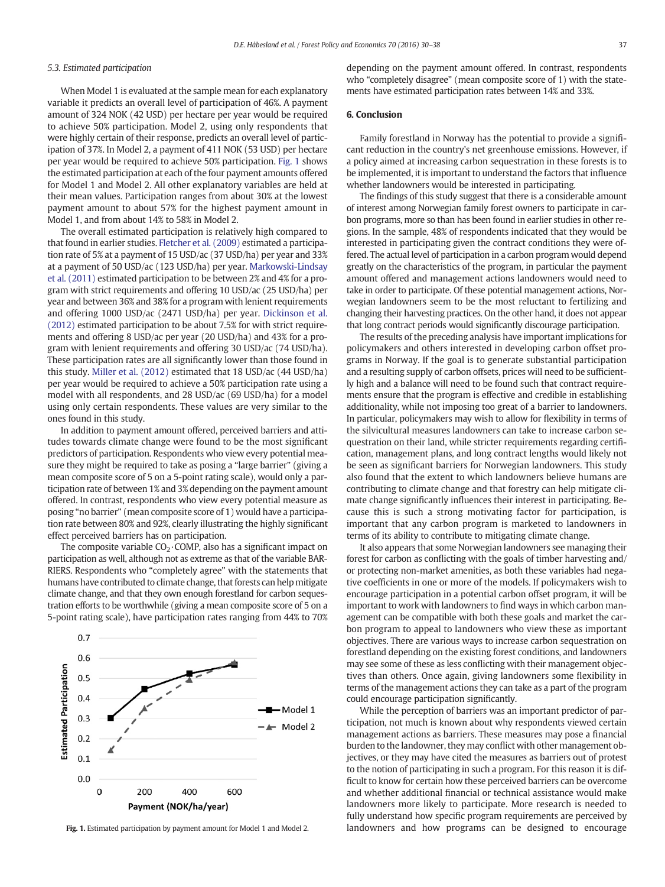# 5.3. Estimated participation

When Model 1 is evaluated at the sample mean for each explanatory variable it predicts an overall level of participation of 46%. A payment amount of 324 NOK (42 USD) per hectare per year would be required to achieve 50% participation. Model 2, using only respondents that were highly certain of their response, predicts an overall level of participation of 37%. In Model 2, a payment of 411 NOK (53 USD) per hectare per year would be required to achieve 50% participation. Fig. 1 shows the estimated participation at each of the four payment amounts offered for Model 1 and Model 2. All other explanatory variables are held at their mean values. Participation ranges from about 30% at the lowest payment amount to about 57% for the highest payment amount in Model 1, and from about 14% to 58% in Model 2.

The overall estimated participation is relatively high compared to that found in earlier studies. [Fletcher et al. \(2009\)](#page-8-0) estimated a participation rate of 5% at a payment of 15 USD/ac (37 USD/ha) per year and 33% at a payment of 50 USD/ac (123 USD/ha) per year. [Markowski-Lindsay](#page-8-0) [et al. \(2011\)](#page-8-0) estimated participation to be between 2% and 4% for a program with strict requirements and offering 10 USD/ac (25 USD/ha) per year and between 36% and 38% for a program with lenient requirements and offering 1000 USD/ac (2471 USD/ha) per year. [Dickinson et al.](#page-8-0) [\(2012\)](#page-8-0) estimated participation to be about 7.5% for with strict requirements and offering 8 USD/ac per year (20 USD/ha) and 43% for a program with lenient requirements and offering 30 USD/ac (74 USD/ha). These participation rates are all significantly lower than those found in this study. [Miller et al. \(2012\)](#page-8-0) estimated that 18 USD/ac (44 USD/ha) per year would be required to achieve a 50% participation rate using a model with all respondents, and 28 USD/ac (69 USD/ha) for a model using only certain respondents. These values are very similar to the ones found in this study.

In addition to payment amount offered, perceived barriers and attitudes towards climate change were found to be the most significant predictors of participation. Respondents who view every potential measure they might be required to take as posing a "large barrier" (giving a mean composite score of 5 on a 5-point rating scale), would only a participation rate of between 1% and 3% depending on the payment amount offered. In contrast, respondents who view every potential measure as posing "no barrier" (mean composite score of 1) would have a participation rate between 80% and 92%, clearly illustrating the highly significant effect perceived barriers has on participation.

The composite variable  $CO<sub>2</sub>$  COMP, also has a significant impact on participation as well, although not as extreme as that of the variable BAR-RIERS. Respondents who "completely agree" with the statements that humans have contributed to climate change, that forests can help mitigate climate change, and that they own enough forestland for carbon sequestration efforts to be worthwhile (giving a mean composite score of 5 on a 5-point rating scale), have participation rates ranging from 44% to 70%



depending on the payment amount offered. In contrast, respondents who "completely disagree" (mean composite score of 1) with the statements have estimated participation rates between 14% and 33%.

#### 6. Conclusion

Family forestland in Norway has the potential to provide a significant reduction in the country's net greenhouse emissions. However, if a policy aimed at increasing carbon sequestration in these forests is to be implemented, it is important to understand the factors that influence whether landowners would be interested in participating.

The findings of this study suggest that there is a considerable amount of interest among Norwegian family forest owners to participate in carbon programs, more so than has been found in earlier studies in other regions. In the sample, 48% of respondents indicated that they would be interested in participating given the contract conditions they were offered. The actual level of participation in a carbon program would depend greatly on the characteristics of the program, in particular the payment amount offered and management actions landowners would need to take in order to participate. Of these potential management actions, Norwegian landowners seem to be the most reluctant to fertilizing and changing their harvesting practices. On the other hand, it does not appear that long contract periods would significantly discourage participation.

The results of the preceding analysis have important implications for policymakers and others interested in developing carbon offset programs in Norway. If the goal is to generate substantial participation and a resulting supply of carbon offsets, prices will need to be sufficiently high and a balance will need to be found such that contract requirements ensure that the program is effective and credible in establishing additionality, while not imposing too great of a barrier to landowners. In particular, policymakers may wish to allow for flexibility in terms of the silvicultural measures landowners can take to increase carbon sequestration on their land, while stricter requirements regarding certification, management plans, and long contract lengths would likely not be seen as significant barriers for Norwegian landowners. This study also found that the extent to which landowners believe humans are contributing to climate change and that forestry can help mitigate climate change significantly influences their interest in participating. Because this is such a strong motivating factor for participation, is important that any carbon program is marketed to landowners in terms of its ability to contribute to mitigating climate change.

It also appears that some Norwegian landowners see managing their forest for carbon as conflicting with the goals of timber harvesting and/ or protecting non-market amenities, as both these variables had negative coefficients in one or more of the models. If policymakers wish to encourage participation in a potential carbon offset program, it will be important to work with landowners to find ways in which carbon management can be compatible with both these goals and market the carbon program to appeal to landowners who view these as important objectives. There are various ways to increase carbon sequestration on forestland depending on the existing forest conditions, and landowners may see some of these as less conflicting with their management objectives than others. Once again, giving landowners some flexibility in terms of the management actions they can take as a part of the program could encourage participation significantly.

While the perception of barriers was an important predictor of participation, not much is known about why respondents viewed certain management actions as barriers. These measures may pose a financial burden to the landowner, they may conflict with other management objectives, or they may have cited the measures as barriers out of protest to the notion of participating in such a program. For this reason it is difficult to know for certain how these perceived barriers can be overcome and whether additional financial or technical assistance would make landowners more likely to participate. More research is needed to fully understand how specific program requirements are perceived by Fig. 1. Estimated participation by payment amount for Model 1 and Model 2. **Indowners and how programs can be designed to encourage**